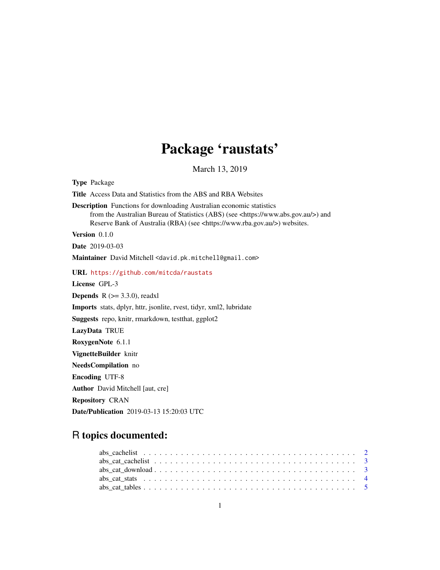# Package 'raustats'

March 13, 2019

| <b>Type Package</b>                                                                                                                                                                                                                                                  |
|----------------------------------------------------------------------------------------------------------------------------------------------------------------------------------------------------------------------------------------------------------------------|
| <b>Title</b> Access Data and Statistics from the ABS and RBA Websites                                                                                                                                                                                                |
| <b>Description</b> Functions for downloading Australian economic statistics<br>from the Australian Bureau of Statistics (ABS) (see <https: www.abs.gov.au=""></https:> ) and<br>Reserve Bank of Australia (RBA) (see <https: www.rba.gov.au=""></https:> ) websites. |
| Version $0.1.0$                                                                                                                                                                                                                                                      |
| <b>Date</b> 2019-03-03                                                                                                                                                                                                                                               |
| Maintainer David Mitchell <david.pk.mitchell@gmail.com></david.pk.mitchell@gmail.com>                                                                                                                                                                                |
| URL https://github.com/mitcda/raustats                                                                                                                                                                                                                               |
| License GPL-3                                                                                                                                                                                                                                                        |
| <b>Depends</b> $R$ ( $> = 3.3.0$ ), readxl                                                                                                                                                                                                                           |
| Imports stats, dplyr, httr, jsonlite, rvest, tidyr, xml2, lubridate                                                                                                                                                                                                  |
| Suggests repo, knitr, rmarkdown, test that, ggplot2                                                                                                                                                                                                                  |
| LazyData TRUE                                                                                                                                                                                                                                                        |
| RoxygenNote 6.1.1                                                                                                                                                                                                                                                    |
| VignetteBuilder knitr                                                                                                                                                                                                                                                |
| NeedsCompilation no                                                                                                                                                                                                                                                  |
| <b>Encoding UTF-8</b>                                                                                                                                                                                                                                                |
| <b>Author</b> David Mitchell [aut, cre]                                                                                                                                                                                                                              |
| <b>Repository CRAN</b>                                                                                                                                                                                                                                               |
| Date/Publication 2019-03-13 15:20:03 UTC                                                                                                                                                                                                                             |

## R topics documented: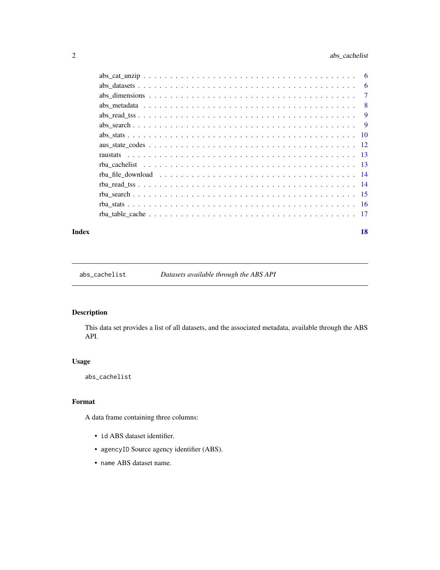## <span id="page-1-0"></span>2 abs\_cachelist

| $abs\_datasets \ldots \ldots \ldots \ldots \ldots \ldots \ldots \ldots \ldots \ldots \ldots \ldots \ldots$              |  |  |  |  |  |  |  |  |  |  |  |  |  |  | -6             |
|-------------------------------------------------------------------------------------------------------------------------|--|--|--|--|--|--|--|--|--|--|--|--|--|--|----------------|
|                                                                                                                         |  |  |  |  |  |  |  |  |  |  |  |  |  |  | $\overline{7}$ |
|                                                                                                                         |  |  |  |  |  |  |  |  |  |  |  |  |  |  | $\overline{8}$ |
| $\text{abs\_read\_tss} \dots \dots \dots \dots \dots \dots \dots \dots \dots \dots \dots \dots \dots \dots \dots \dots$ |  |  |  |  |  |  |  |  |  |  |  |  |  |  |                |
|                                                                                                                         |  |  |  |  |  |  |  |  |  |  |  |  |  |  |                |
|                                                                                                                         |  |  |  |  |  |  |  |  |  |  |  |  |  |  |                |
|                                                                                                                         |  |  |  |  |  |  |  |  |  |  |  |  |  |  |                |
|                                                                                                                         |  |  |  |  |  |  |  |  |  |  |  |  |  |  |                |
|                                                                                                                         |  |  |  |  |  |  |  |  |  |  |  |  |  |  |                |
| rba file download $\ldots \ldots \ldots \ldots \ldots \ldots \ldots \ldots \ldots \ldots \ldots \ldots$                 |  |  |  |  |  |  |  |  |  |  |  |  |  |  |                |
|                                                                                                                         |  |  |  |  |  |  |  |  |  |  |  |  |  |  |                |
|                                                                                                                         |  |  |  |  |  |  |  |  |  |  |  |  |  |  |                |
|                                                                                                                         |  |  |  |  |  |  |  |  |  |  |  |  |  |  |                |
|                                                                                                                         |  |  |  |  |  |  |  |  |  |  |  |  |  |  |                |
|                                                                                                                         |  |  |  |  |  |  |  |  |  |  |  |  |  |  |                |

#### **Index** 2008 **[18](#page-17-0)**

abs\_cachelist *Datasets available through the ABS API*

## Description

This data set provides a list of all datasets, and the associated metadata, available through the ABS API.

## Usage

abs\_cachelist

## Format

A data frame containing three columns:

- id ABS dataset identifier.
- agencyID Source agency identifier (ABS).
- name ABS dataset name.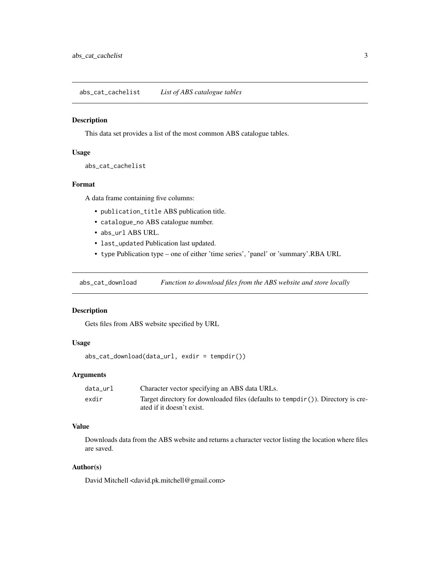<span id="page-2-0"></span>abs\_cat\_cachelist *List of ABS catalogue tables*

#### Description

This data set provides a list of the most common ABS catalogue tables.

#### Usage

```
abs_cat_cachelist
```
#### Format

A data frame containing five columns:

- publication\_title ABS publication title.
- catalogue\_no ABS catalogue number.
- abs\_url ABS URL.
- last\_updated Publication last updated.
- type Publication type one of either 'time series', 'panel' or 'summary'.RBA URL

abs\_cat\_download *Function to download files from the ABS website and store locally*

## Description

Gets files from ABS website specified by URL

## Usage

abs\_cat\_download(data\_url, exdir = tempdir())

#### Arguments

| data url | Character vector specifying an ABS data URLs.                                                                    |
|----------|------------------------------------------------------------------------------------------------------------------|
| exdir    | Target directory for downloaded files (defaults to $tempdir()$ ). Directory is cre-<br>ated if it doesn't exist. |

## Value

Downloads data from the ABS website and returns a character vector listing the location where files are saved.

#### Author(s)

David Mitchell <david.pk.mitchell@gmail.com>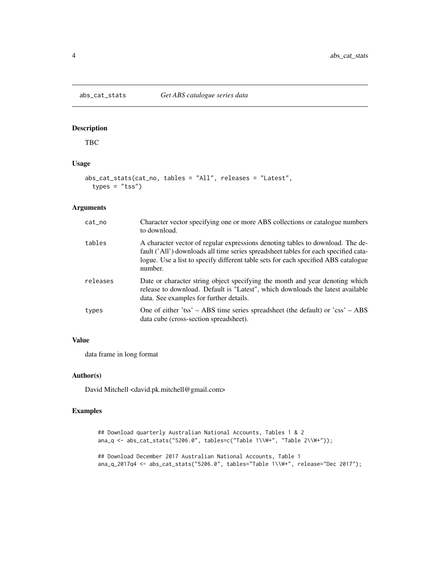<span id="page-3-0"></span>

TBC

## Usage

```
abs_cat_stats(cat_no, tables = "All", releases = "Latest",
  types = "tss")
```
## Arguments

| cat_no   | Character vector specifying one or more ABS collections or catalogue numbers<br>to download.                                                                                                                                                                           |
|----------|------------------------------------------------------------------------------------------------------------------------------------------------------------------------------------------------------------------------------------------------------------------------|
| tables   | A character vector of regular expressions denoting tables to download. The de-<br>fault ('All') downloads all time series spreadsheet tables for each specified cata-<br>logue. Use a list to specify different table sets for each specified ABS catalogue<br>number. |
| releases | Date or character string object specifying the month and year denoting which<br>release to download. Default is "Latest", which downloads the latest available<br>data. See examples for further details.                                                              |
| types    | One of either 'tss' $-$ ABS time series spreadsheet (the default) or 'css' $-$ ABS<br>data cube (cross-section spreadsheet).                                                                                                                                           |

## Value

data frame in long format

## Author(s)

David Mitchell <david.pk.mitchell@gmail.com>

```
## Download quarterly Australian National Accounts, Tables 1 & 2
ana_q <- abs_cat_stats("5206.0", tables=c("Table 1\\W+", "Table 2\\W+"));
## Download December 2017 Australian National Accounts, Table 1
ana_q_2017q4 <- abs_cat_stats("5206.0", tables="Table 1\\W+", release="Dec 2017");
```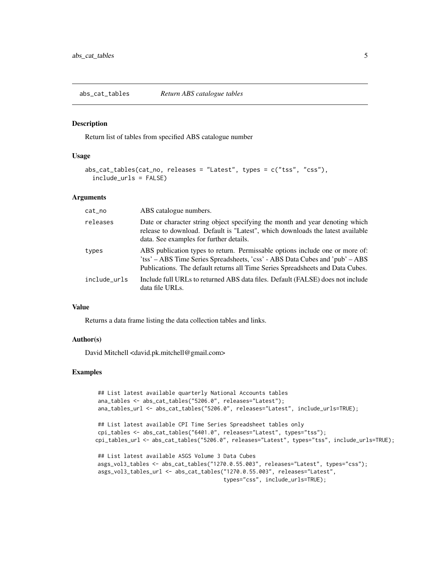<span id="page-4-0"></span>abs\_cat\_tables *Return ABS catalogue tables*

#### Description

Return list of tables from specified ABS catalogue number

#### Usage

```
abs_cat_tables(cat_no, releases = "Latest", types = c("tss", "css"),
  include_urls = FALSE)
```
## Arguments

| cat_no       | ABS catalogue numbers.                                                                                                                                                                                                                         |
|--------------|------------------------------------------------------------------------------------------------------------------------------------------------------------------------------------------------------------------------------------------------|
| releases     | Date or character string object specifying the month and year denoting which<br>release to download. Default is "Latest", which downloads the latest available<br>data. See examples for further details.                                      |
| types        | ABS publication types to return. Permissable options include one or more of:<br>'tss' – ABS Time Series Spreadsheets, 'css' - ABS Data Cubes and 'pub' – ABS<br>Publications. The default returns all Time Series Spreadsheets and Data Cubes. |
| include urls | Include full URLs to returned ABS data files. Default (FALSE) does not include<br>data file URLs.                                                                                                                                              |

#### Value

Returns a data frame listing the data collection tables and links.

#### Author(s)

David Mitchell <david.pk.mitchell@gmail.com>

```
## List latest available quarterly National Accounts tables
ana_tables <- abs_cat_tables("5206.0", releases="Latest");
ana_tables_url <- abs_cat_tables("5206.0", releases="Latest", include_urls=TRUE);
## List latest available CPI Time Series Spreadsheet tables only
cpi_tables <- abs_cat_tables("6401.0", releases="Latest", types="tss");
cpi_tables_url <- abs_cat_tables("5206.0", releases="Latest", types="tss", include_urls=TRUE);
## List latest available ASGS Volume 3 Data Cubes
asgs_vol3_tables <- abs_cat_tables("1270.0.55.003", releases="Latest", types="css");
asgs_vol3_tables_url <- abs_cat_tables("1270.0.55.003", releases="Latest",
                                       types="css", include_urls=TRUE);
```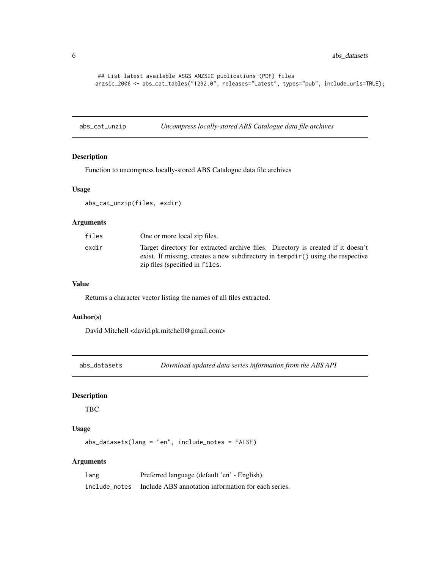<span id="page-5-0"></span>6 abs\_datasets

## List latest available ASGS ANZSIC publications (PDF) files anzsic\_2006 <- abs\_cat\_tables("1292.0", releases="Latest", types="pub", include\_urls=TRUE);

abs\_cat\_unzip *Uncompress locally-stored ABS Catalogue data file archives*

## Description

Function to uncompress locally-stored ABS Catalogue data file archives

## Usage

abs\_cat\_unzip(files, exdir)

## Arguments

| files | One or more local zip files.                                                                                                                                                                          |
|-------|-------------------------------------------------------------------------------------------------------------------------------------------------------------------------------------------------------|
| exdir | Target directory for extracted archive files. Directory is created if it doesn't<br>exist. If missing, creates a new subdirectory in tempdir() using the respective<br>zip files (specified in files. |

#### Value

Returns a character vector listing the names of all files extracted.

## Author(s)

David Mitchell <david.pk.mitchell@gmail.com>

abs\_datasets *Download updated data series information from the ABS API*

## **Description**

TBC

#### Usage

abs\_datasets(lang = "en", include\_notes = FALSE)

## Arguments

| lang          | Preferred language (default 'en' - English).        |
|---------------|-----------------------------------------------------|
| include notes | Include ABS annotation information for each series. |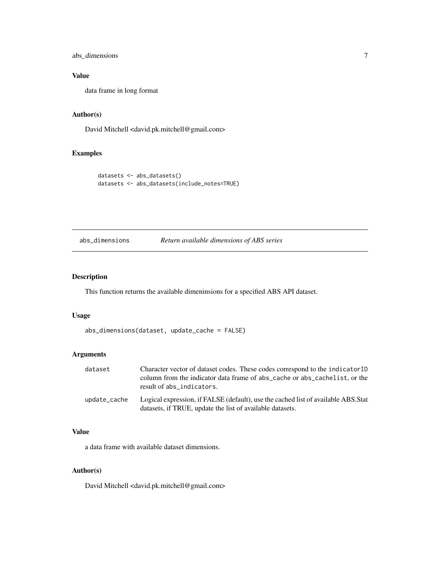<span id="page-6-0"></span>abs\_dimensions 7

## Value

data frame in long format

## Author(s)

David Mitchell <david.pk.mitchell@gmail.com>

## Examples

```
datasets <- abs_datasets()
datasets <- abs_datasets(include_notes=TRUE)
```
## abs\_dimensions *Return available dimensions of ABS series*

## Description

This function returns the available dimeninsions for a specified ABS API dataset.

#### Usage

```
abs_dimensions(dataset, update_cache = FALSE)
```
## Arguments

| dataset      | Character vector of dataset codes. These codes correspond to the indicatorID<br>column from the indicator data frame of abs_cache or abs_cachelist, or the<br>result of abs_indicators. |
|--------------|-----------------------------------------------------------------------------------------------------------------------------------------------------------------------------------------|
| update_cache | Logical expression, if FALSE (default), use the cached list of available ABS. Stat<br>datasets, if TRUE, update the list of available datasets.                                         |

## Value

a data frame with available dataset dimensions.

## Author(s)

David Mitchell <david.pk.mitchell@gmail.com>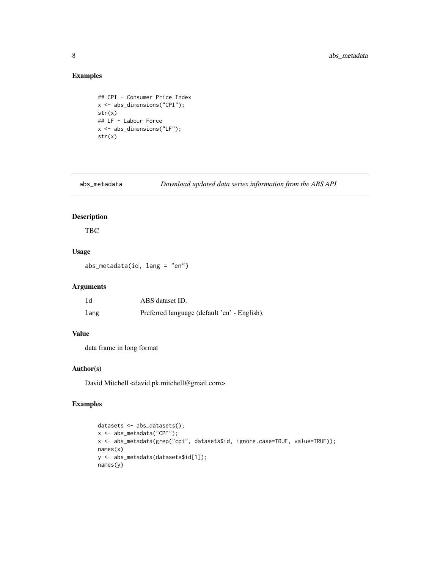## Examples

```
## CPI - Consumer Price Index
x <- abs_dimensions("CPI");
str(x)
## LF - Labour Force
x <- abs_dimensions("LF");
str(x)
```
abs\_metadata *Download updated data series information from the ABS API*

## Description

TBC

## Usage

abs\_metadata(id, lang = "en")

## Arguments

| id   | ABS dataset ID.                              |
|------|----------------------------------------------|
| lang | Preferred language (default 'en' - English). |

## Value

data frame in long format

## Author(s)

David Mitchell <david.pk.mitchell@gmail.com>

```
datasets <- abs_datasets();
x <- abs_metadata("CPI");
x <- abs_metadata(grep("cpi", datasets$id, ignore.case=TRUE, value=TRUE));
names(x)
y <- abs_metadata(datasets$id[1]);
names(y)
```
<span id="page-7-0"></span>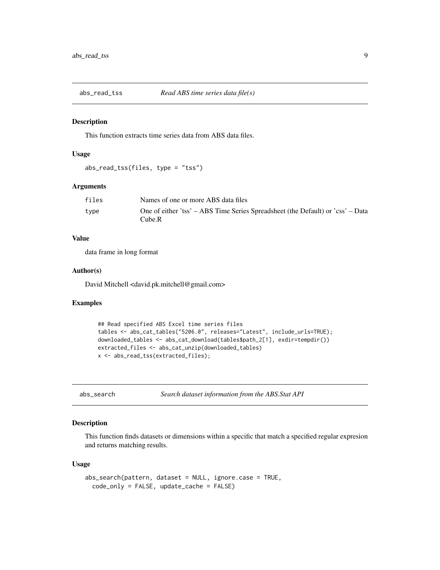<span id="page-8-0"></span>

This function extracts time series data from ABS data files.

## Usage

```
abs_read_tss(files, type = "tss")
```
## Arguments

| files | Names of one or more ABS data files                                                       |
|-------|-------------------------------------------------------------------------------------------|
| type  | One of either 'tss' – ABS Time Series Spreadsheet (the Default) or 'css' – Data<br>Cube.R |

## Value

data frame in long format

#### Author(s)

David Mitchell <david.pk.mitchell@gmail.com>

#### Examples

```
## Read specified ABS Excel time series files
tables <- abs_cat_tables("5206.0", releases="Latest", include_urls=TRUE);
downloaded_tables <- abs_cat_download(tables$path_2[1], exdir=tempdir())
extracted_files <- abs_cat_unzip(downloaded_tables)
x <- abs_read_tss(extracted_files);
```
abs\_search *Search dataset information from the ABS.Stat API*

## Description

This function finds datasets or dimensions within a specific that match a specified regular expresion and returns matching results.

#### Usage

```
abs_search(pattern, dataset = NULL, ignore.case = TRUE,
 code_only = FALSE, update_cache = FALSE)
```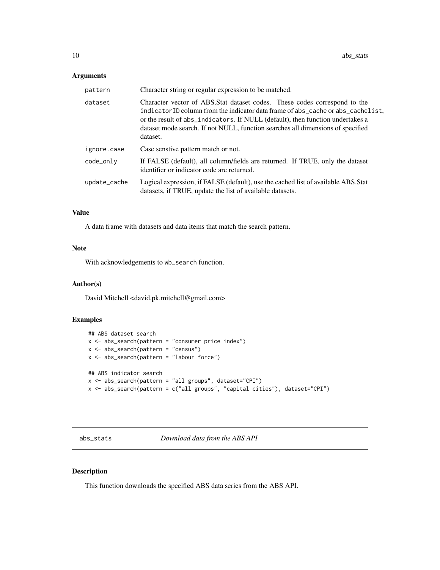#### <span id="page-9-0"></span>Arguments

| pattern      | Character string or regular expression to be matched.                                                                                                                                                                                                                                                                                         |
|--------------|-----------------------------------------------------------------------------------------------------------------------------------------------------------------------------------------------------------------------------------------------------------------------------------------------------------------------------------------------|
| dataset      | Character vector of ABS.Stat dataset codes. These codes correspond to the<br>indicatorID column from the indicator data frame of abs_cache or abs_cachelist,<br>or the result of abs_indicators. If NULL (default), then function undertakes a<br>dataset mode search. If not NULL, function searches all dimensions of specified<br>dataset. |
| ignore.case  | Case senstive pattern match or not.                                                                                                                                                                                                                                                                                                           |
| code_only    | If FALSE (default), all column/fields are returned. If TRUE, only the dataset<br>identifier or indicator code are returned.                                                                                                                                                                                                                   |
| update_cache | Logical expression, if FALSE (default), use the cached list of available ABS.Stat<br>datasets, if TRUE, update the list of available datasets.                                                                                                                                                                                                |

#### Value

A data frame with datasets and data items that match the search pattern.

## Note

With acknowledgements to wb\_search function.

#### Author(s)

David Mitchell <david.pk.mitchell@gmail.com>

## Examples

```
## ABS dataset search
x \le - abs_search(pattern = "consumer price index")
x \leftarrow abs\_search(path)x <- abs_search(pattern = "labour force")
## ABS indicator search
x <- abs_search(pattern = "all groups", dataset="CPI")
x <- abs_search(pattern = c("all groups", "capital cities"), dataset="CPI")
```
abs\_stats *Download data from the ABS API*

## Description

This function downloads the specified ABS data series from the ABS API.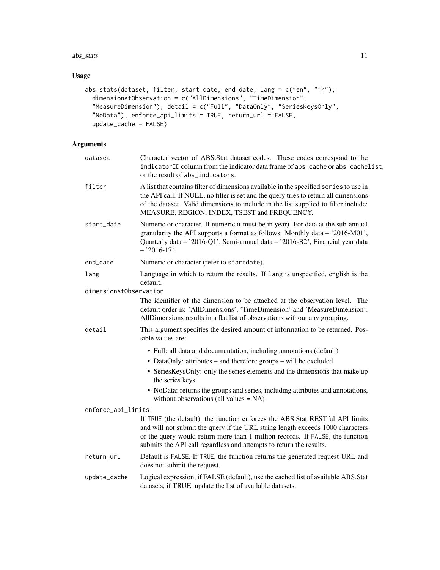#### abs\_stats 11

## Usage

```
abs_stats(dataset, filter, start_date, end_date, lang = c("en", "fr"),
 dimensionAtObservation = c("AllDimensions", "TimeDimension",
  "MeasureDimension"), detail = c("Full", "DataOnly", "SeriesKeysOnly",
  "NoData"), enforce_api_limits = TRUE, return_url = FALSE,
 update_cache = FALSE)
```
## Arguments

| dataset                | Character vector of ABS.Stat dataset codes. These codes correspond to the<br>indicatorID column from the indicator data frame of abs_cache or abs_cachelist,<br>or the result of abs_indicators.                                                                                                                       |
|------------------------|------------------------------------------------------------------------------------------------------------------------------------------------------------------------------------------------------------------------------------------------------------------------------------------------------------------------|
| filter                 | A list that contains filter of dimensions available in the specified series to use in<br>the API call. If NULL, no filter is set and the query tries to return all dimensions<br>of the dataset. Valid dimensions to include in the list supplied to filter include:<br>MEASURE, REGION, INDEX, TSEST and FREQUENCY.   |
| start_date             | Numeric or character. If numeric it must be in year). For data at the sub-annual<br>granularity the API supports a format as follows: Monthly data - '2016-M01',<br>Quarterly data - '2016-Q1', Semi-annual data - '2016-B2', Financial year data<br>$-2016-17$ .                                                      |
| end_date               | Numeric or character (refer to startdate).                                                                                                                                                                                                                                                                             |
| lang                   | Language in which to return the results. If lang is unspecified, english is the<br>default.                                                                                                                                                                                                                            |
| dimensionAtObservation |                                                                                                                                                                                                                                                                                                                        |
|                        | The identifier of the dimension to be attached at the observation level. The<br>default order is: 'AllDimensions', 'TimeDimension' and 'MeasureDimension'.<br>AllDimensions results in a flat list of observations without any grouping.                                                                               |
| detail                 | This argument specifies the desired amount of information to be returned. Pos-<br>sible values are:                                                                                                                                                                                                                    |
|                        | • Full: all data and documentation, including annotations (default)<br>• DataOnly: attributes – and therefore groups – will be excluded                                                                                                                                                                                |
|                        | • SeriesKeysOnly: only the series elements and the dimensions that make up<br>the series keys                                                                                                                                                                                                                          |
|                        | • NoData: returns the groups and series, including attributes and annotations,<br>without observations (all values $= NA$ )                                                                                                                                                                                            |
| enforce_api_limits     |                                                                                                                                                                                                                                                                                                                        |
|                        | If TRUE (the default), the function enforces the ABS.Stat RESTful API limits<br>and will not submit the query if the URL string length exceeds 1000 characters<br>or the query would return more than 1 million records. If FALSE, the function<br>submits the API call regardless and attempts to return the results. |
| return_url             | Default is FALSE. If TRUE, the function returns the generated request URL and<br>does not submit the request.                                                                                                                                                                                                          |
| update_cache           | Logical expression, if FALSE (default), use the cached list of available ABS.Stat<br>datasets, if TRUE, update the list of available datasets.                                                                                                                                                                         |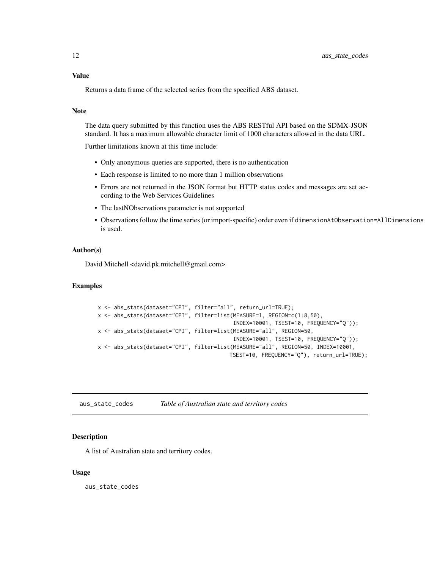## <span id="page-11-0"></span>Value

Returns a data frame of the selected series from the specified ABS dataset.

#### Note

The data query submitted by this function uses the ABS RESTful API based on the SDMX-JSON standard. It has a maximum allowable character limit of 1000 characters allowed in the data URL.

Further limitations known at this time include:

- Only anonymous queries are supported, there is no authentication
- Each response is limited to no more than 1 million observations
- Errors are not returned in the JSON format but HTTP status codes and messages are set according to the Web Services Guidelines
- The lastNObservations parameter is not supported
- Observations follow the time series (or import-specific) order even if dimensionAtObservation=AllDimensions is used.

#### Author(s)

David Mitchell <david.pk.mitchell@gmail.com>

## Examples

```
x <- abs_stats(dataset="CPI", filter="all", return_url=TRUE);
x <- abs_stats(dataset="CPI", filter=list(MEASURE=1, REGION=c(1:8,50),
                                          INDEX=10001, TSEST=10, FREQUENCY="Q"));
x <- abs_stats(dataset="CPI", filter=list(MEASURE="all", REGION=50,
                                          INDEX=10001, TSEST=10, FREQUENCY="Q"));
x <- abs_stats(dataset="CPI", filter=list(MEASURE="all", REGION=50, INDEX=10001,
                                         TSEST=10, FREQUENCY="Q"), return_url=TRUE);
```
aus\_state\_codes *Table of Australian state and territory codes*

#### Description

A list of Australian state and territory codes.

#### Usage

aus\_state\_codes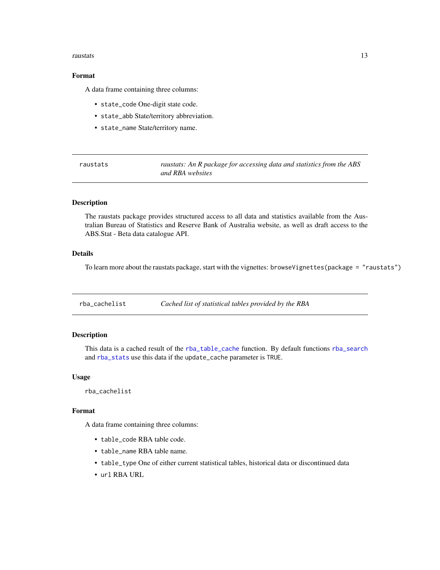#### <span id="page-12-0"></span>raustats and the contract of the contract of the contract of the contract of the contract of the contract of the contract of the contract of the contract of the contract of the contract of the contract of the contract of t

## Format

A data frame containing three columns:

- state\_code One-digit state code.
- state\_abb State/territory abbreviation.
- state\_name State/territory name.

raustats *raustats: An R package for accessing data and statistics from the ABS and RBA websites*

## **Description**

The raustats package provides structured access to all data and statistics available from the Australian Bureau of Statistics and Reserve Bank of Australia website, as well as draft access to the ABS.Stat - Beta data catalogue API.

## Details

To learn more about the raustats package, start with the vignettes: browseVignettes(package = "raustats")

rba\_cachelist *Cached list of statistical tables provided by the RBA*

## Description

This data is a cached result of the [rba\\_table\\_cache](#page-16-1) function. By default functions [rba\\_search](#page-14-1) and [rba\\_stats](#page-15-1) use this data if the update\_cache parameter is TRUE.

#### Usage

rba\_cachelist

#### Format

A data frame containing three columns:

- table\_code RBA table code.
- table\_name RBA table name.
- table\_type One of either current statistical tables, historical data or discontinued data
- url RBA URL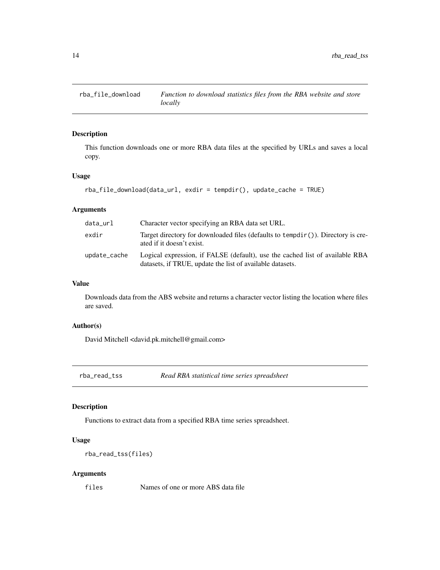<span id="page-13-0"></span>

This function downloads one or more RBA data files at the specified by URLs and saves a local copy.

## Usage

```
rba_file_download(data_url, exdir = tempdir(), update_cache = TRUE)
```
## Arguments

| data_url     | Character vector specifying an RBA data set URL.                                                                                          |
|--------------|-------------------------------------------------------------------------------------------------------------------------------------------|
| exdir        | Target directory for downloaded files (defaults to $tempdir()$ ). Directory is cre-<br>ated if it doesn't exist.                          |
| update_cache | Logical expression, if FALSE (default), use the cached list of available RBA<br>datasets, if TRUE, update the list of available datasets. |

## Value

Downloads data from the ABS website and returns a character vector listing the location where files are saved.

## Author(s)

David Mitchell <david.pk.mitchell@gmail.com>

rba\_read\_tss *Read RBA statistical time series spreadsheet*

#### Description

Functions to extract data from a specified RBA time series spreadsheet.

## Usage

```
rba_read_tss(files)
```
#### Arguments

files Names of one or more ABS data file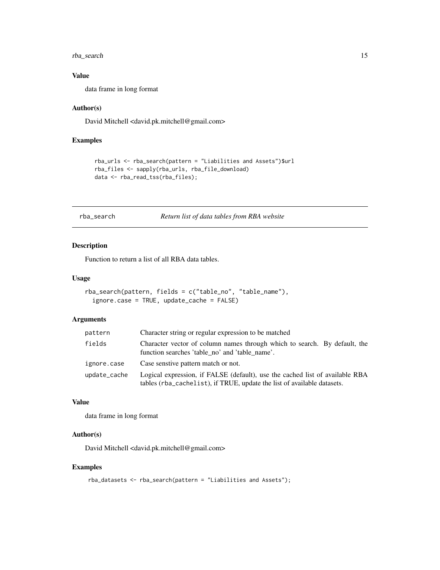<span id="page-14-0"></span>rba\_search 15

## Value

data frame in long format

#### Author(s)

David Mitchell <david.pk.mitchell@gmail.com>

#### Examples

```
rba_urls <- rba_search(pattern = "Liabilities and Assets")$url
rba_files <- sapply(rba_urls, rba_file_download)
data <- rba_read_tss(rba_files);
```
#### <span id="page-14-1"></span>rba\_search *Return list of data tables from RBA website*

#### Description

Function to return a list of all RBA data tables.

#### Usage

```
rba_search(pattern, fields = c("table_no", "table_name"),
 ignore.case = TRUE, update_cache = FALSE)
```
## Arguments

| pattern      | Character string or regular expression to be matched                                                                                                    |
|--------------|---------------------------------------------------------------------------------------------------------------------------------------------------------|
| fields       | Character vector of column names through which to search. By default, the<br>function searches 'table no' and 'table name'.                             |
| ignore.case  | Case senstive pattern match or not.                                                                                                                     |
| update_cache | Logical expression, if FALSE (default), use the cached list of available RBA<br>tables (rba_cachelist), if TRUE, update the list of available datasets. |

#### Value

data frame in long format

## Author(s)

David Mitchell <david.pk.mitchell@gmail.com>

```
rba_datasets <- rba_search(pattern = "Liabilities and Assets");
```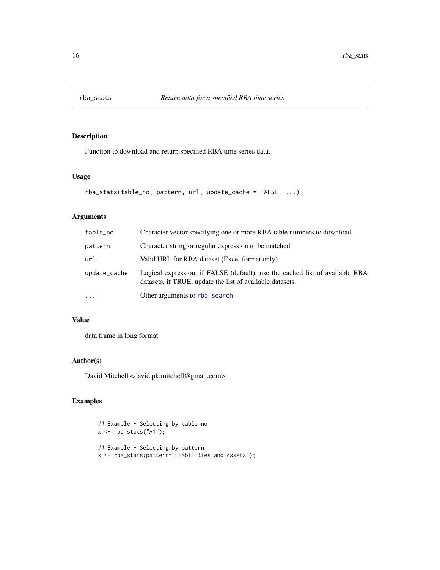<span id="page-15-1"></span><span id="page-15-0"></span>

Function to download and return specified RBA time series data.

#### Usage

```
rba_stats(table_no, pattern, url, update_cache = FALSE, ...)
```
## Arguments

| table_no     | Character vector specifying one or more RBA table numbers to download.                                                                    |
|--------------|-------------------------------------------------------------------------------------------------------------------------------------------|
| pattern      | Character string or regular expression to be matched.                                                                                     |
| url          | Valid URL for RBA dataset (Excel format only).                                                                                            |
| update_cache | Logical expression, if FALSE (default), use the cached list of available RBA<br>datasets, if TRUE, update the list of available datasets. |
| $\cdots$     | Other arguments to rba_search                                                                                                             |

## Value

data frame in long format

## Author(s)

David Mitchell <david.pk.mitchell@gmail.com>

```
## Example - Selecting by table_no
x <- rba_stats("A1");
## Example - Selecting by pattern
x <- rba_stats(pattern="Liabilities and Assets");
```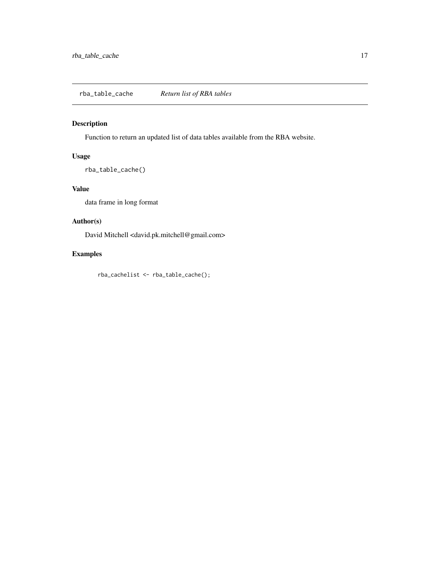<span id="page-16-1"></span><span id="page-16-0"></span>Function to return an updated list of data tables available from the RBA website.

## Usage

rba\_table\_cache()

## Value

data frame in long format

## Author(s)

David Mitchell <david.pk.mitchell@gmail.com>

## Examples

rba\_cachelist <- rba\_table\_cache();